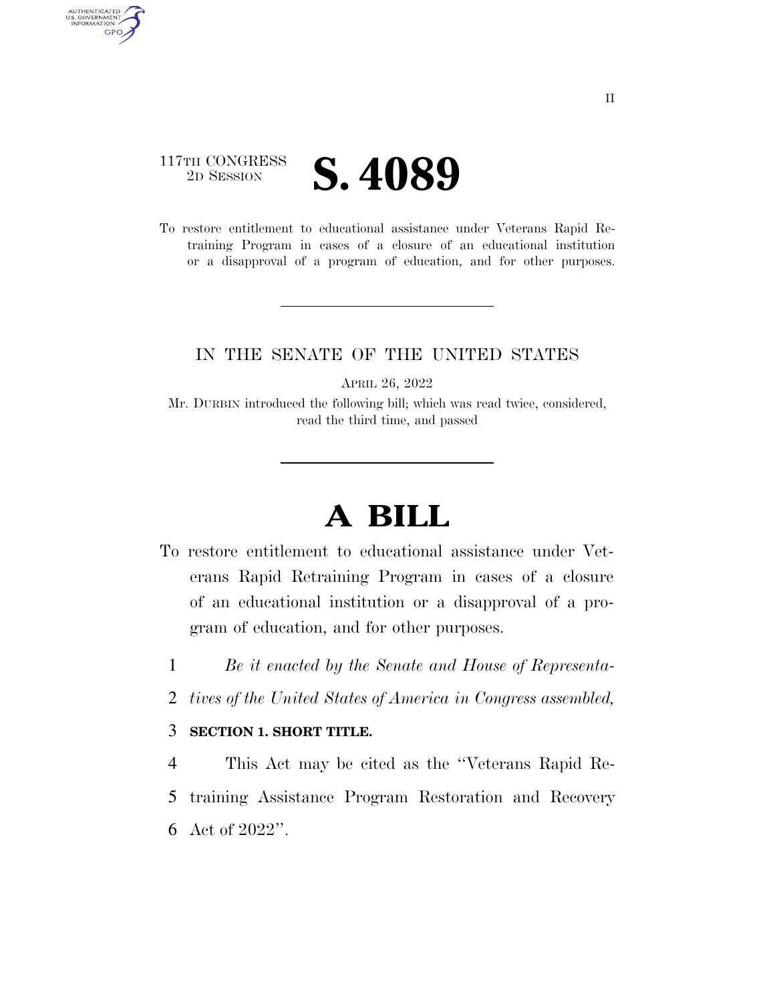## 117TH CONGRESS **2D SESSION S. 4089**

AUTHENTICATED<br>U.S. GOVERNMENT<br>INFORMATION GPO

> To restore entitlement to educational assistance under Veterans Rapid Retraining Program in cases of a closure of an educational institution or a disapproval of a program of education, and for other purposes.

## IN THE SENATE OF THE UNITED STATES

APRIL 26, 2022

Mr. DURBIN introduced the following bill; which was read twice, considered, read the third time, and passed

## **A BILL**

- To restore entitlement to educational assistance under Veterans Rapid Retraining Program in cases of a closure of an educational institution or a disapproval of a program of education, and for other purposes.
	- 1 *Be it enacted by the Senate and House of Representa-*
	- 2 *tives of the United States of America in Congress assembled,*

## 3 **SECTION 1. SHORT TITLE.**

4 This Act may be cited as the ''Veterans Rapid Re-5 training Assistance Program Restoration and Recovery 6 Act of 2022''.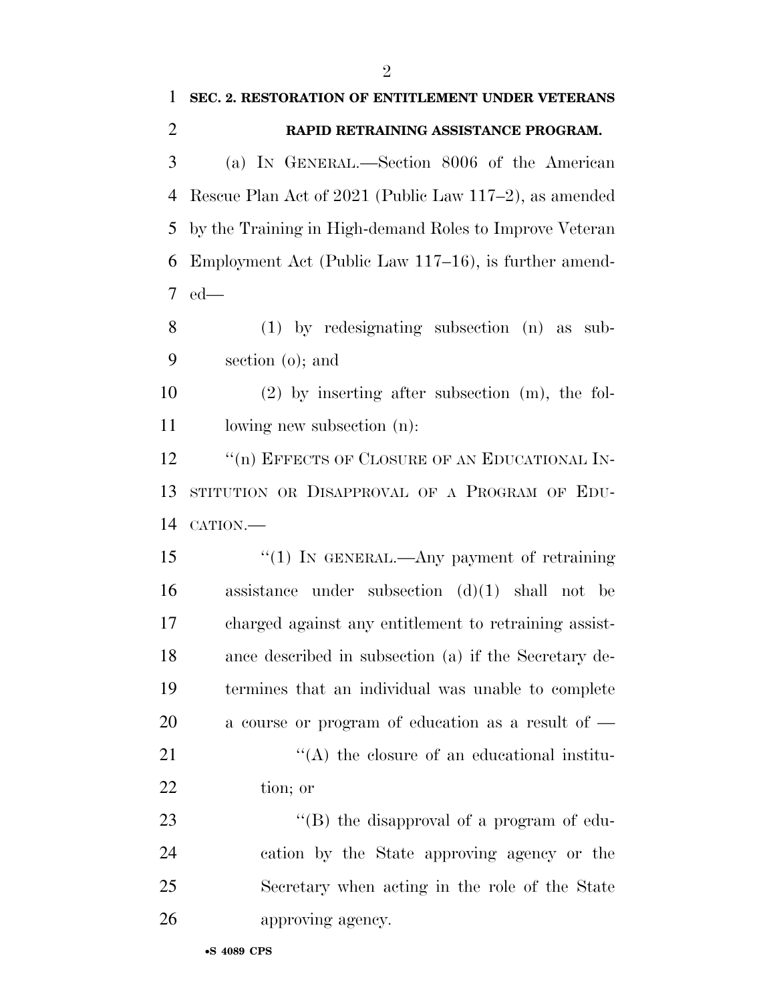| $\mathbf{1}$   | SEC. 2. RESTORATION OF ENTITLEMENT UNDER VETERANS       |
|----------------|---------------------------------------------------------|
| $\overline{2}$ | RAPID RETRAINING ASSISTANCE PROGRAM.                    |
| 3              | (a) IN GENERAL.—Section 8006 of the American            |
| 4              | Rescue Plan Act of 2021 (Public Law 117-2), as amended  |
| 5              | by the Training in High-demand Roles to Improve Veteran |
| 6              | Employment Act (Public Law 117–16), is further amend-   |
| 7              | $ed$ —                                                  |
| 8              | $(1)$ by redesignating subsection $(n)$ as sub-         |
| 9              | section $(o)$ ; and                                     |
| 10             | $(2)$ by inserting after subsection $(m)$ , the fol-    |
| 11             | lowing new subsection (n):                              |
| 12             | "(n) EFFECTS OF CLOSURE OF AN EDUCATIONAL IN-           |
| 13             | STITUTION OR DISAPPROVAL OF A PROGRAM OF EDU-           |
| 14             | CATION.-                                                |
| 15             | "(1) IN GENERAL.—Any payment of retraining              |
| 16             | assistance under subsection $(d)(1)$ shall not be       |
| 17             | charged against any entitlement to retraining assist-   |
| 18             | ance described in subsection (a) if the Secretary de-   |
| 19             | termines that an individual was unable to complete      |
| 20             | a course or program of education as a result of $-$     |
| 21             | "(A) the closure of an educational institu-             |
| 22             | tion; or                                                |
| 23             | "(B) the disapproval of a program of edu-               |
| 24             | cation by the State approving agency or the             |
| 25             | Secretary when acting in the role of the State          |
| 26             | approving agency.                                       |